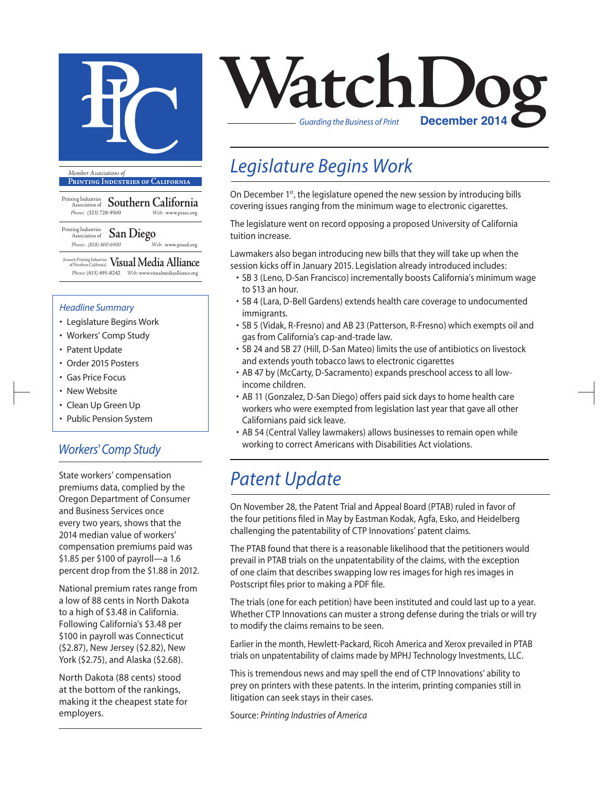

**Printing Industries of California**

Printing Industries Association of **Southern California** *Phone:* (323) 728-9500 *Web:* www.piasc.org

#### Printing Industries Association of **San Diego** *Phone: (858) 800-6900 Web:* www.piasd.org

(formerly Printing Industries of Northern California) **Visual Media Alliance** *Phone:* (415) 495-8242 *Web:* www.visualmediaalliance.org

#### *Headline Summary*

- Legislature Begins Work
- Workers' Comp Study
- Patent Update
- Order 2015 Posters
- Gas Price Focus
- New Website
- Clean Up Green Up
- Public Pension System

### *Workers' Comp Study*

State workers' compensation premiums data, complied by the Oregon Department of Consumer and Business Services once every two years, shows that the 2014 median value of workers' compensation premiums paid was \$1.85 per \$100 of payroll—a 1.6 percent drop from the \$1.88 in 2012.

National premium rates range from a low of 88 cents in North Dakota to a high of \$3.48 in California. Following California's \$3.48 per \$100 in payroll was Connecticut (\$2.87), New Jersey (\$2.82), New York (\$2.75), and Alaska (\$2.68).

North Dakota (88 cents) stood at the bottom of the rankings, making it the cheapest state for employers.



## *Legislature Begins Work*

On December 1<sup>st</sup>, the legislature opened the new session by introducing bills covering issues ranging from the minimum wage to electronic cigarettes.

The legislature went on record opposing a proposed University of California tuition increase.

Lawmakers also began introducing new bills that they will take up when the session kicks off in January 2015. Legislation already introduced includes:

- SB 3 (Leno, D-San Francisco) incrementally boosts California's minimum wage to \$13 an hour.
- SB 4 (Lara, D-Bell Gardens) extends health care coverage to undocumented immigrants.
- SB 5 (Vidak, R-Fresno) and AB 23 (Patterson, R-Fresno) which exempts oil and gas from California's cap-and-trade law.
- SB 24 and SB 27 (Hill, D-San Mateo) limits the use of antibiotics on livestock and extends youth tobacco laws to electronic cigarettes
- AB 47 by (McCarty, D-Sacramento) expands preschool access to all lowincome children.
- AB 11 (Gonzalez, D-San Diego) offers paid sick days to home health care workers who were exempted from legislation last year that gave all other Californians paid sick leave.
- AB 54 (Central Valley lawmakers) allows businesses to remain open while working to correct Americans with Disabilities Act violations.

## *Patent Update*

On November 28, the Patent Trial and Appeal Board (PTAB) ruled in favor of the four petitions filed in May by Eastman Kodak, Agfa, Esko, and Heidelberg challenging the patentability of CTP Innovations' patent claims.

The PTAB found that there is a reasonable likelihood that the petitioners would prevail in PTAB trials on the unpatentability of the claims, with the exception of one claim that describes swapping low res images for high res images in Postscript files prior to making a PDF file.

The trials (one for each petition) have been instituted and could last up to a year. Whether CTP Innovations can muster a strong defense during the trials or will try to modify the claims remains to be seen.

Earlier in the month, Hewlett-Packard, Ricoh America and Xerox prevailed in PTAB trials on unpatentability of claims made by MPHJ Technology Investments, LLC.

This is tremendous news and may spell the end of CTP Innovations' ability to prey on printers with these patents. In the interim, printing companies still in litigation can seek stays in their cases.

Source: *Printing Industries of America*